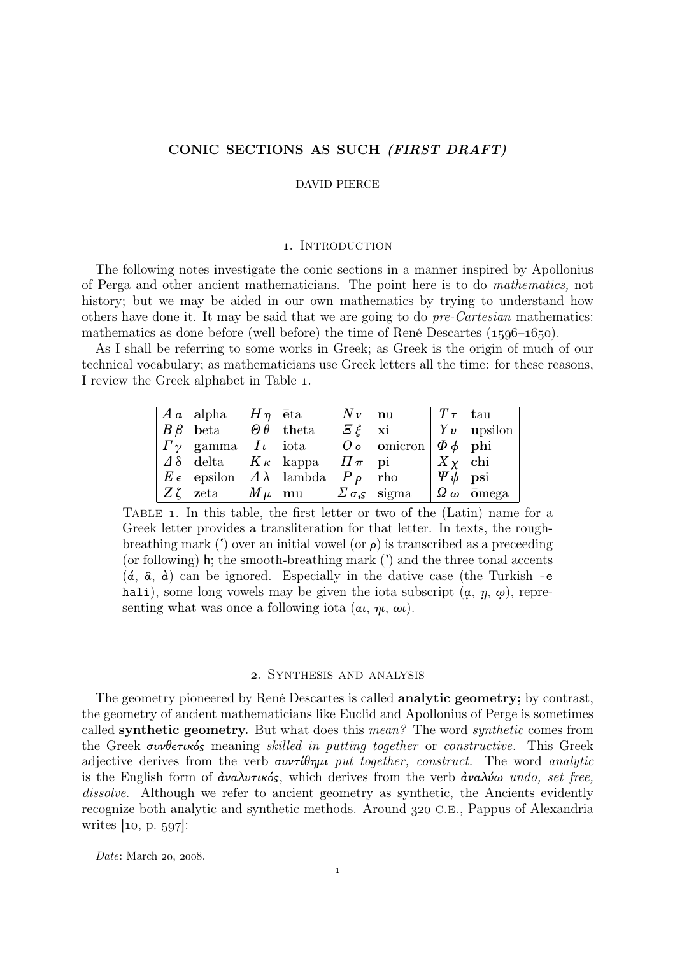# CONIC SECTIONS AS SUCH (FIRST DRAFT)

#### DAVID PIERCE

### 1. INTRODUCTION

The following notes investigate the conic sections in a manner inspired by Apollonius of Perga and other ancient mathematicians. The point here is to do *mathematics,* not history; but we may be aided in our own mathematics by trying to understand how others have done it. It may be said that we are going to do *pre-Cartesian* mathematics: mathematics as done before (well before) the time of René Descartes  $(1596-1650)$ .

As I shall be referring to some works in Greek; as Greek is the origin of much of our technical vocabulary; as mathematicians use Greek letters all the time: for these reasons, I review the Greek alphabet in Table .

|  | $A \alpha$ alpha $H \eta$ $\bar{e}$ ta $N \nu$ nu                                |                                                                                                                  | $\parallel$ $T \tau$ tau |                                  |
|--|----------------------------------------------------------------------------------|------------------------------------------------------------------------------------------------------------------|--------------------------|----------------------------------|
|  | $\mid B\beta \text{ beta }\mid \Theta\theta \text{ theta }\mid E\xi \text{ xi }$ |                                                                                                                  |                          | $ Yv \text{ upsilon} $           |
|  |                                                                                  | $  \Gamma_{\gamma}$ gamma $  \textit{I}_{\iota}$ iota $  \textit{O}_{\iota}$ omicron $  \Phi_{\iota} \phi $ phi  |                          |                                  |
|  |                                                                                  | $\vert \Delta \delta$ delta $\vert K_{\kappa} \vert$ kappa $\vert \Pi_{\pi} \vert$ pi $\vert X_{\chi} \vert$ chi |                          |                                  |
|  | $E \epsilon$ epsilon $\langle A \lambda \rangle$ lambda $P \rho$ rho             |                                                                                                                  | $ \Psi \psi \>$ psi      |                                  |
|  | $Z\zeta$ zeta $/M\mu$ mu $Z\sigma_s$ sigma                                       |                                                                                                                  |                          | $\Omega$ $\omega$ $\bar{0}$ mega |

TABLE 1. In this table, the first letter or two of the (Latin) name for a Greek letter provides a transliteration for that letter. In texts, the roughbreathing mark ( $\dot{\ }$ ) over an initial vowel (or  $\rho$ ) is transcribed as a preceeding (or following) h; the smooth-breathing mark (') and the three tonal accents  $(\hat{a}, \hat{a}, \hat{a})$  can be ignored. Especially in the dative case (the Turkish -e hali), some long vowels may be given the iota subscript  $(a, \eta, \omega)$ , representing what was once a following iota  $(\alpha, \eta, \omega)$ .

## . Synthesis and analysis

The geometry pioneered by René Descartes is called **analytic geometry;** by contrast, the geometry of ancient mathematicians like Euclid and Apollonius of Perge is sometimes called synthetic geometry. But what does this *mean?* The word *synthetic* comes from the Greek συνθετικός meaning *skilled in putting together* or *constructive.* This Greek adjective derives from the verb συντίθηµι *put together, construct.* The word *analytic* is the English form of ¢ναλυτικός, which derives from the verb ¢ναλύω *undo, set free,* dissolve. Although we refer to ancient geometry as synthetic, the Ancients evidently recognize both analytic and synthetic methods. Around  $320$  C.E., Pappus of Alexandria writes  $[10, p. 597]$ :

*Date*: March 20, 2008.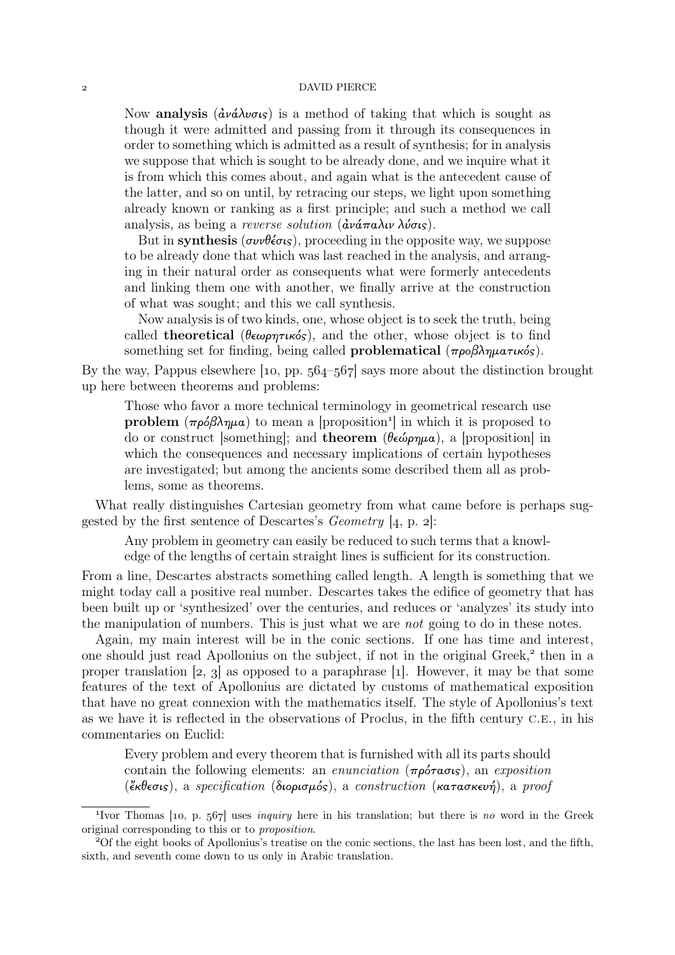#### DAVID PIERCE

Now **analysis** ( $\frac{\partial \nu}{\partial \nu}$  ( $\frac{\partial \nu}{\partial \nu}$ ) is a method of taking that which is sought as though it were admitted and passing from it through its consequences in order to something which is admitted as a result of synthesis; for in analysis we suppose that which is sought to be already done, and we inquire what it is from which this comes about, and again what is the antecedent cause of the latter, and so on until, by retracing our steps, we light upon something already known or ranking as a first principle; and such a method we call analysis, as being a *reverse solution* (¢νάπαλιν λύσις).

But in synthesis ( $\sigma \nu \theta \neq \sigma s$ ), proceeding in the opposite way, we suppose to be already done that which was last reached in the analysis, and arranging in their natural order as consequents what were formerly antecedents and linking them one with another, we finally arrive at the construction of what was sought; and this we call synthesis.

Now analysis is of two kinds, one, whose object is to seek the truth, being called **theoretical** (θεωρητικός), and the other, whose object is to find something set for finding, being called **problematical** ( $προβληματικός$ ).

By the way, Pappus elsewhere  $\lceil$ 10, pp. 564–567 says more about the distinction brought up here between theorems and problems:

Those who favor a more technical terminology in geometrical research use **problem**  $(\pi \rho \delta \beta \lambda \eta \mu a)$  to mean a [proposition<sup>1</sup>] in which it is proposed to do or construct [something]; and **theorem** (θεώρημα), a [proposition] in which the consequences and necessary implications of certain hypotheses are investigated; but among the ancients some described them all as problems, some as theorems.

What really distinguishes Cartesian geometry from what came before is perhaps suggested by the first sentence of Descartes's *Geometry* [4, p. 2]:

Any problem in geometry can easily be reduced to such terms that a knowledge of the lengths of certain straight lines is sufficient for its construction.

From a line, Descartes abstracts something called length. A length is something that we might today call a positive real number. Descartes takes the edifice of geometry that has been built up or 'synthesized' over the centuries, and reduces or 'analyzes' its study into the manipulation of numbers. This is just what we are *not* going to do in these notes.

Again, my main interest will be in the conic sections. If one has time and interest, one should just read Apollonius on the subject, if not in the original Greek,<sup>2</sup> then in a proper translation  $[2, 3]$  as opposed to a paraphrase [1]. However, it may be that some features of the text of Apollonius are dictated by customs of mathematical exposition that have no great connexion with the mathematics itself. The style of Apollonius's text as we have it is reflected in the observations of Proclus, in the fifth century C.E., in his commentaries on Euclid:

Every problem and every theorem that is furnished with all its parts should contain the following elements: an *enunciation* (πρότασις), an *exposition* (κθεσις), a *specification* (διορισµός), a *construction* (κατασκευή), a *proof*

<sup>&</sup>lt;sup>1</sup>Ivor Thomas [10, p. 567] uses *inquiry* here in his translation; but there is *no* word in the Greek original corresponding to this or to *proposition*.

Of the eight books of Apollonius's treatise on the conic sections, the last has been lost, and the fifth, sixth, and seventh come down to us only in Arabic translation.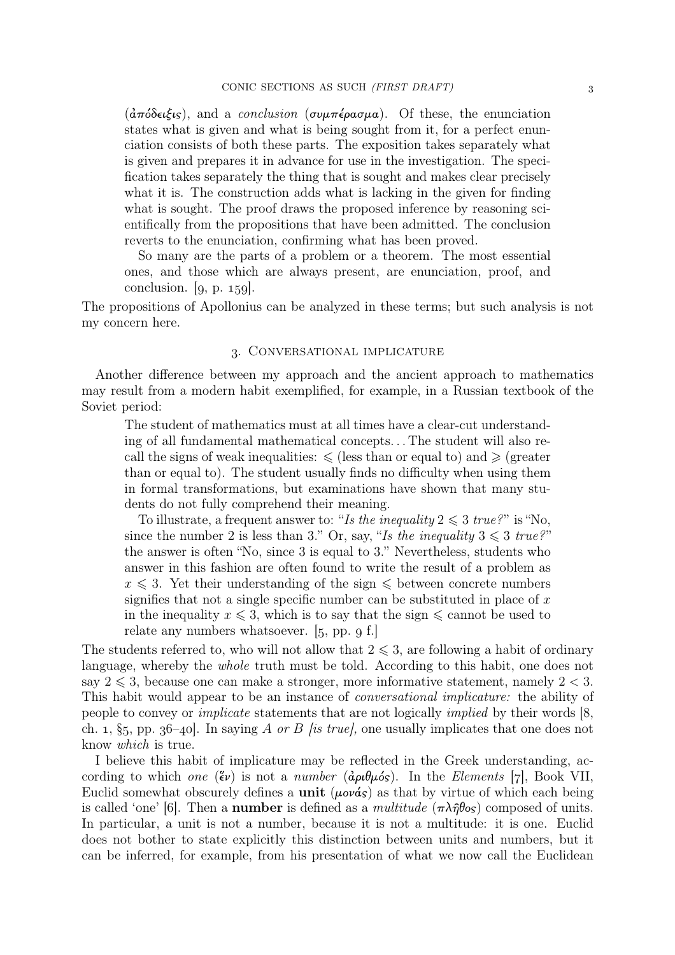(¢πόδειξις), and a *conclusion* (συµπέρασµα). Of these, the enunciation states what is given and what is being sought from it, for a perfect enunciation consists of both these parts. The exposition takes separately what is given and prepares it in advance for use in the investigation. The specification takes separately the thing that is sought and makes clear precisely what it is. The construction adds what is lacking in the given for finding what is sought. The proof draws the proposed inference by reasoning sci-entifically from the propositions that have been admitted. The conclusion reverts to the enunciation, confirming what has been proved.

So many are the parts of a problem or a theorem. The most essential ones, and those which are always present, are enunciation, proof, and conclusion.  $[g, p. 159]$ .

The propositions of Apollonius can be analyzed in these terms; but such analysis is not my concern here.

# . Conversational implicature

Another difference between my approach and the ancient approach to mathematics may result from a modern habit exemplified, for example, in a Russian textbook of the Soviet period:

The student of mathematics must at all times have a clear-cut understanding of all fundamental mathematical concepts. . . The student will also recall the signs of weak inequalities:  $\leq$  (less than or equal to) and  $\geq$  (greater than or equal to). The student usually finds no difficulty when using them in formal transformations, but examinations have shown that many students do not fully comprehend their meaning.

To illustrate, a frequent answer to: "*Is the inequality*  $2 \leq 3$  *true?*" is "No, since the number 2 is less than 3." Or, say, "*Is the inequality*  $3 \leq 3$  *true?*" the answer is often "No, since 3 is equal to 3." Nevertheless, students who answer in this fashion are often found to write the result of a problem as  $x \leq 3$ . Yet their understanding of the sign  $\leq$  between concrete numbers signifies that not a single specific number can be substituted in place of  $x$ in the inequality  $x \leq 3$ , which is to say that the sign  $\leq$  cannot be used to relate any numbers whatsoever.  $[5, pp. 9 f.]$ 

The students referred to, who will not allow that  $2 \leq 3$ , are following a habit of ordinary language, whereby the *whole* truth must be told. According to this habit, one does not say  $2 \leq 3$ , because one can make a stronger, more informative statement, namely  $2 < 3$ . This habit would appear to be an instance of *conversational implicature:* the ability of people to convey or *implicate* statements that are not logically *implied* by their words [8, ch. 1, §5, pp. 36–40. In saying A *or* B *[is true]*, one usually implicates that one does not know *which* is true.

I believe this habit of implicature may be reflected in the Greek understanding, according to which *one* ( $\epsilon \nu$ ) is not a *number* ( $d\rho \mu \delta s$ ). In the *Elements* [7], Book VII, Euclid somewhat obscurely defines a **unit** ( $\mu \circ \alpha s$ ) as that by virtue of which each being is called 'one'  $|6|$ . Then a **number** is defined as a *multitude*  $(\pi \lambda \hat{\eta} \theta o_s)$  composed of units. In particular, a unit is not a number, because it is not a multitude: it is one. Euclid does not bother to state explicitly this distinction between units and numbers, but it can be inferred, for example, from his presentation of what we now call the Euclidean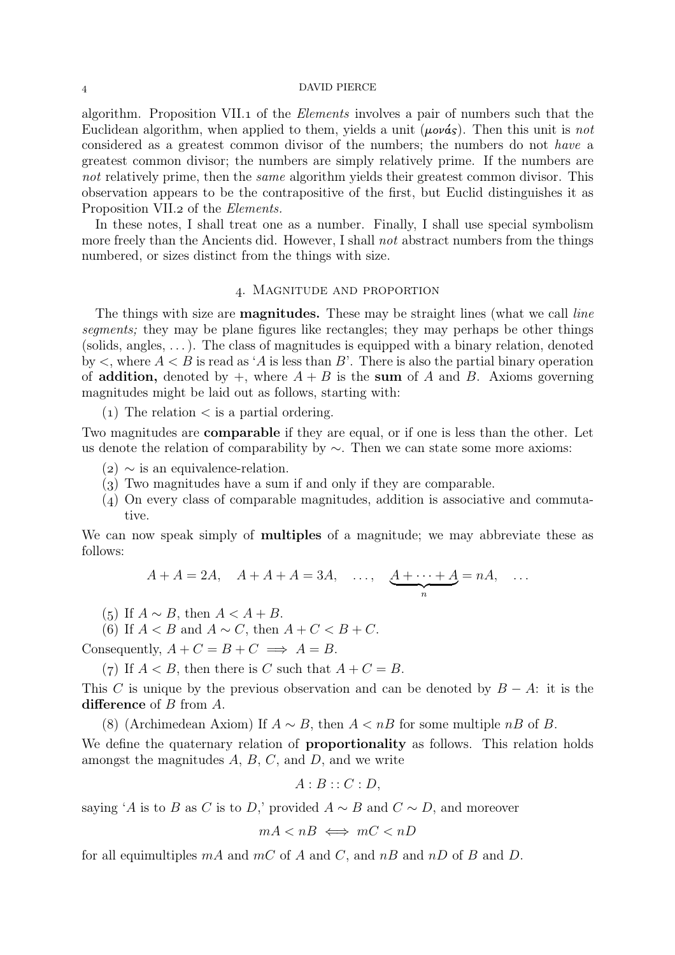## DAVID PIERCE

algorithm. Proposition VII. of the *Elements* involves a pair of numbers such that the Euclidean algorithm, when applied to them, yields a unit  $(\mu \circ \nu \circ s)$ . Then this unit is *not* considered as a greatest common divisor of the numbers; the numbers do not *have* a greatest common divisor; the numbers are simply relatively prime. If the numbers are *not* relatively prime, then the *same* algorithm yields their greatest common divisor. This observation appears to be the contrapositive of the first, but Euclid distinguishes it as Proposition VII.2 of the *Elements*.

In these notes, I shall treat one as a number. Finally, I shall use special symbolism more freely than the Ancients did. However, I shall *not* abstract numbers from the things numbered, or sizes distinct from the things with size.

## . Magnitude and proportion

The things with size are magnitudes. These may be straight lines (what we call *line segments;* they may be plane figures like rectangles; they may perhaps be other things (solids, angles,  $\dots$ ). The class of magnitudes is equipped with a binary relation, denoted by  $\lt$ , where  $A \lt B$  is read as 'A is less than B'. There is also the partial binary operation of **addition**, denoted by  $+$ , where  $A + B$  is the sum of A and B. Axioms governing magnitudes might be laid out as follows, starting with:

 $(1)$  The relation  $\lt$  is a partial ordering.

Two magnitudes are comparable if they are equal, or if one is less than the other. Let us denote the relation of comparability by ∼. Then we can state some more axioms:

- $(2) \sim$  is an equivalence-relation.
- $(3)$  Two magnitudes have a sum if and only if they are comparable.
- () On every class of comparable magnitudes, addition is associative and commutative.

We can now speak simply of multiples of a magnitude; we may abbreviate these as follows:

$$
A + A = 2A, \quad A + A + A = 3A, \quad \dots, \quad \underbrace{A + \dots + A}_{n} = nA, \quad \dots
$$

(5) If  $A \sim B$ , then  $A < A + B$ .

(6) If  $A < B$  and  $A \sim C$ , then  $A + C < B + C$ .

Consequently,  $A + C = B + C \implies A = B$ .

(7) If  $A < B$ , then there is C such that  $A + C = B$ .

This C is unique by the previous observation and can be denoted by  $B - A$ : it is the difference of B from A.

(8) (Archimedean Axiom) If  $A \sim B$ , then  $A < nB$  for some multiple nB of B.

We define the quaternary relation of **proportionality** as follows. This relation holds amongst the magnitudes  $A, B, C$ , and  $D$ , and we write

$$
A:B::C:D,
$$

saying 'A is to B as C is to D,' provided  $A \sim B$  and  $C \sim D$ , and moreover

$$
mA < nB \iff mC < nD
$$

for all equimultiples  $mA$  and  $mC$  of A and C, and  $nB$  and  $nD$  of B and D.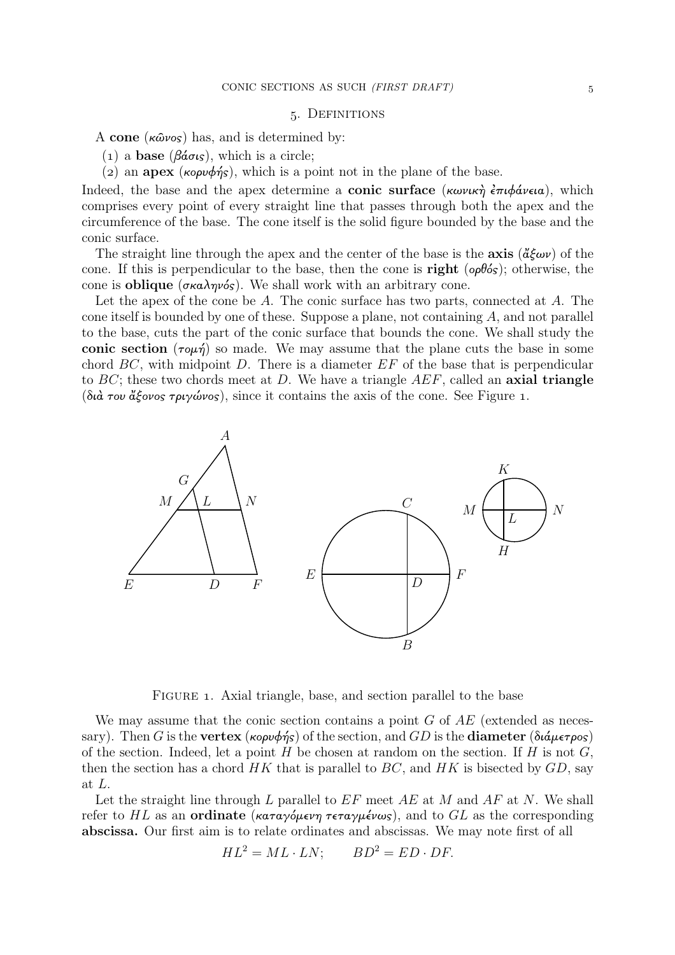### . Definitions

A cone  $(\kappa \hat{\omega} \nu \circ s)$  has, and is determined by:

- (1) a **base** ( $β\acute{a}σις$ ), which is a circle;
- (2) an apex (κορυφής), which is a point not in the plane of the base.

Indeed, the base and the apex determine a **conic surface** (κωνική  $\epsilon \pi \psi \phi \psi$ ικα), which comprises every point of every straight line that passes through both the apex and the circumference of the base. The cone itself is the solid figure bounded by the base and the conic surface.

The straight line through the apex and the center of the base is the **axis**  $(\check{\alpha}\check{\epsilon}\omega v)$  of the cone. If this is perpendicular to the base, then the cone is **right** ( $\omega \theta \delta s$ ); otherwise, the cone is **oblique** (σκαληνός). We shall work with an arbitrary cone.

Let the apex of the cone be A. The conic surface has two parts, connected at A. The cone itself is bounded by one of these. Suppose a plane, not containing A, and not parallel to the base, cuts the part of the conic surface that bounds the cone. We shall study the conic section  $(\tau \circ \mu \eta)$  so made. We may assume that the plane cuts the base in some chord  $BC$ , with midpoint  $D$ . There is a diameter  $EF$  of the base that is perpendicular to  $BC$ ; these two chords meet at D. We have a triangle  $AEF$ , called an axial triangle (διά του άξονος τριγώνος), since it contains the axis of the cone. See Figure 1.



FIGURE 1. Axial triangle, base, and section parallel to the base

We may assume that the conic section contains a point  $G$  of  $AE$  (extended as necessary). Then G is the vertex (κορυφής) of the section, and GD is the diameter (διάμετρος) of the section. Indeed, let a point  $H$  be chosen at random on the section. If  $H$  is not  $G$ , then the section has a chord  $HK$  that is parallel to  $BC$ , and  $HK$  is bisected by  $GD$ , say at L.

Let the straight line through L parallel to  $EF$  meet  $AE$  at M and  $AF$  at N. We shall refer to HL as an **ordinate** (καταγόμενη τεταγμένως), and to GL as the corresponding abscissa. Our first aim is to relate ordinates and abscissas. We may note first of all

$$
HL^2 = ML \cdot LN; \qquad BD^2 = ED \cdot DF.
$$